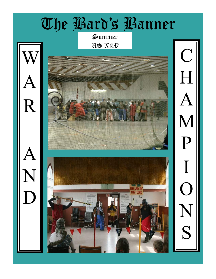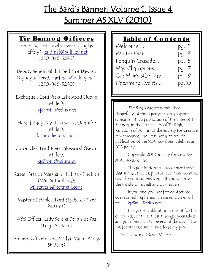# The Bard's Banner; Volume 1, Issue 4 Summer AS XLV (2010)

#### Tir Banno g Of ficers

Seneschal: HL Tewl Gover (Douglas Jeffery); [cardinal@bulkley.net](mailto:cardinal@bulkley.net) (250-846-5290)

Deputy Seneschal: HL Betha of Dawlish (Cyndy Jeffery); [cardinal@bulkley.net](mailto:cardinal@bulkley.net) (250-846-5290)

Exchequer: Lord Piers Lakewood (Kevin Miller); [kjc3mill@telus.net](mailto:kj2mill@lakescom.net)

Herald: Lady Alys Lakewood (Jennifer Miller); [kjc3mill@telus.net](mailto:kjc3mill@telus.net)

Chronicler: Lord Piers Lakewood (Kevin Miller); [kjc3mill@telus.net](mailto:kj2mill@lakescom.net)

Rapier Branch Marshall: HL Liam Dughlus (Will Sutherland); [willstavern@hotmail.com](mailto:willstavern@hotmail.com)

Master of Stables: Lord Sigehere (Troy Reitsma)

A&S Officer: Lady Serena Duran de Paz (Leigh St. Jean)

Archery Officer: Lord Madyn Vach (Randy St. Jean)

### Table of Contents

| Welcome!               | pg. 3 |
|------------------------|-------|
| Winter War             | pq. 3 |
| Penquin Crusade        | pg. 5 |
| May Champions          | pg. 7 |
| Cae Mor's SCA Day      | pg. 9 |
| <b>Upcoming Events</b> | pg.10 |

The Bard's Banner is published (hopefully) 4 times per year, on a seasonal schedule. It is a publication of the Shire of Tir Bannog, in the Principality of Tir Righ, Kingdom of An Tir, of the Society for Creative Anachronism, Inc. It is not a corporate publication of the SCA, nor does it delineate SCA policy.

Copyright 2010 Society for Creative Anachronism, Inc

This publication shall recognize those that submit articles, photos, etc. You won't be paid for your submission, but you will have the thanks of myself and our readers.

If you find you need to contact me over something herein, please send an email to: [kjc3mill@telus.net](mailto:kj2mill@lakescom.net)

Lastly, this publication is meant for the enjoyment of all; share it amongst yourselves and your friends. At the end of the day, if I've made someone smile, I've done my job.

-Piers Lakewood (Kevin Miller)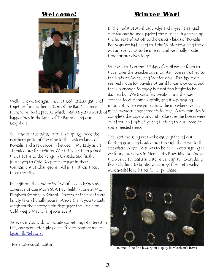#### Welc ome!



Well, here we are again, my learned readers, gathered together for another edition of the Bard's Banner. happenings in the lands of Tir Bannog and our neighbors.

Our travels have taken us far since spring, from the northern peaks of Cae Mor to the eastern lands of Borealis, and a few stops in between. My Lady and I attended our first Winter War this year, then joined the caravans to the Penguin Crusade, and finally journeyed to Cold Keep to take part in their tournament of Champions. All in all, it was a busy three months.

In addition, the erudite Wlfryd of Leedes brings us coverage of Cae Mor's SCA Day, held in June at Mt.. Elizabeth Secondary School. Photos of the event were kindly taken by Sally Sousa. Also a thank you to Lady Medb for the photographs that grace the article on Cold Keep's May Champions event.

As ever, if you wish to include something of interest in this, our newsletter, please feel free to contact me at [kjc3mill@telus.net](mailto:kj2mill@lakescom.net)

-Piers Lakewood, Editor

## Winter War!

In the midst of April Lady Alys and myself arranged care for our hounds, packed the carriage, harnessed up the horses and set off to the eastern lands of Borealis. For years we had heard that the Winter War held there was an event not to be missed, and we finally made time for ourselves to go.

Number 4, to be precise, which marks a year's worth of made previous arrangements to stay. A few minutes to So it was that on the 16<sup>th</sup> day of April we set forth to travel over the treacherous mountain passes that led to the lands of Avacal, and Winter War. The day itself seemed made for travel; not terribly warm or cold, and the sun enough to enjoy but not too bright to be dazzled by. We took a few breaks along the way, stopped to visit some kinfolk, and it was nearing midnight when we pulled into the inn where we had complete the paperwork and make sure the horses were cared for, and Lady Alys and I retired to our room for some needed sleep.

> The next morning we awoke early, gathered our fighting gear, and headed out through the town to the site where Winter War was to be held. After signing in we found ourselves in Merchant's Row, idly looking at the wonderful crafts and items on display. Everything from clothing to books, weaponry, furs and jewelry were available to barter for or purchase.



(some of the fine jewelry on display in Merchant's Row)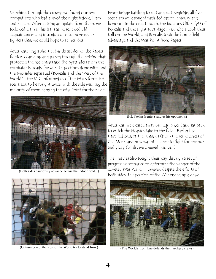Searching through the crowds we found our two compatriots who had arrived the night before, Liam and Faelan. After getting an update from them, we followed Liam in his trails as he renewed old acquaintances and introduced us to more rapier fighters than we could hope to remember!

After watching a short cut & thrust demo, the Rapier fighters geared up and passed through the netting that protected the merchants and the bystanders from the combatants, ready for war. Inspections done with, and the two sides separated (Borealis and the "Rest of the World"), the MIC informed us of the War's format: 5 scenarios, to be fought twice, with the side winning the majority of them earning the War Point for their side.



(Both sides cautiously advance across the indoor field...)

From bridge battling to out and out Regicide, all five scenarios were fought with dedication, chivalry and honour. In the end, though, the big guns (literally!) of Borealis and the slight advantage in numbers took their toll on the World, and Borealis took the home field advantage and the War Point from Rapier.



(HL Faelan (center) salutes his opponents)

After war, we cleared away our equipment and sat back to watch the Heavies take to the field. Faelan had travelled even farther than us (from the remoteness of Cae Mor), and now was his chance to fight for honour and glory (whilst we cheered him on!).

The Heavies also fought their way through a set of progressive scenarios to determine the winner of the coveted War Point. However, despite the efforts of both sides, this portion of the War ended up a draw.



(Outnumbered, the Rest of the World try to stand firm.)



(The World's front line defends their archery crews)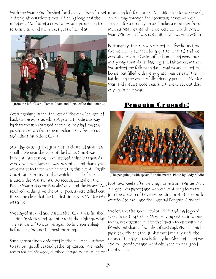out to grab ourselves a meal (it being long past the midday). We found a cozy eatery and proceeded to relax and unwind from the rigors of combat.



(from the left: Castra, Tomas, Liam and Piers, off to find lunch...)

After finishing lunch, the rest of "the crew" sauntered back to the war site, while Alys and I made our way back to the inn (but not before milady had made a purchase or two from the merchants) to freshen up and relax a bit before Court.

Saturday evening the group of us clustered around a small table near the back of the hall as Court was brought into session. We listened politely as awards were given out, largesse was presented, and thank yous were made to those who helped run this event. Finally, Court came around to that which held all of our interest: the War Points. As recounted earlier, the Rapier War had gone Borealis' way, and the Heavy War resolved nothing. As the other points were tallied out it became clear that for the first time ever, Winter War join the caravan of travelers heading north then southwas a Tie!

We stayed around and visited after Court was finished, sharing in stories and laughter until the night grew late. speed in getting to Cae Mor. Having settled into our Then it was off to our inn again to find some sleep before heading out the next morning...

Sunday morning we stopped by the hall one last time, to say our goodbyes and gather up Castra. We made room for her stowage, climbed aboard our carriage one night's sleep.

With the War being finished for the day a few of us set more and left for home. As a side note to our travels, on our way through the mountain passes we were stopped for a time by an avalanche, a reminder from Mother Nature that while we were done with Winter War, Winter itself was not quite done warring with us!

> Fortunately, the pass was cleared in a few hours time (we were only stopped for a quarter of that) and we were able to drop Castra off at home, and wend our weary way towards Tir Bannog and Lakewood Manor. We arrived the following day, road weary, elated to be home, but filled with many great memories of the battles and the wonderfully friendly people at Winter War, and made a note then and there to set out that way again next year...

# Penguin Crusade!



(The penguins, "with spears," on the march. Photo by Lady Medb)

Not two weeks after arriving home from Winter War, our gear was packed and we were venturing forth to west to Cae Mor, and their annual Penguin Crusade!

We left the afternoon of April 30<sup>th</sup>, and made good room, we ventured out to the Tavern to visit with old friends and share a few tales of past exploits. The night passed swiftly and the drink flowed merrily until the rigors of the day's travels finally hit Alys and I, and we said our goodbyes and went off in search of a good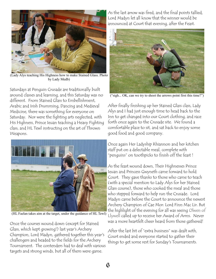

(Lady Alys teaching His Highness how to make Stained Glass. Photo by Lady Medb)

Saturdays at Penguin Crusade are traditionally built around classes and learning, and this Saturday was no different. From Stained Glass to Embellishment, Arabic and Irish Drumming, Dancing and Medieval Medicine, there was something for everyone on Saturday. Nor were the fighting arts neglected, with His Highness, Prince Ieuan teaching a Heavy Fighting class, and HL Tewl instructing on the art of Thrown Weapons.



(HL Faelan takes aim at the target, under the guidance of HL Tewl)

Once the courses wound down (except for Stained Glass, which kept growing!) last year's Archery Champion, Lord Madyn, gathered together this year's challengers and headed to the fields for the Archery Tournament. The contenders had to deal with various targets and strong winds, but all of them were game.

As the last arrow was fired, and the final points tallied, Lord Madyn let all know that the winner would be announced at Court that evening, after the Feast.



("sigh... OK, can we try to shoot the arrows point first this time?")

After finally finishing up her Stained Glass class, Lady Alys and I had just enough time to head back to the Inn to get changed into our Court clothing, and race forth once again to the Crusade site. We found a comfortable place to sit, and sat back to enjoy some good food and good company.

Once again Her Ladyship Rhiannon and her kitchen staff put on a delectable meal, complete with "penguins" on toothpicks to finish off the feast !

As the feast wound down, Their Highnesses Prince Ieuan and Princess Gwyneth came forward to hold Court. They gave thanks to those who came to teach (with a special mention to Lady Alys for her Stained Glass course), those who cooked the meal and those who stepped forward to help run the Crusade. Lord Madyn came before the Court to announce the newest Archery Champion of Cae Mor: Lord Finn Mac Lir. But the highlight of the evening for all was seeing Olwen of Llywell called up to receive her Award of Arms. Never was a more heartfelt cheer heard from those gathered!

After the last bit of "extra business" was dealt with, Court ended and everyone started to gather their things to get some rest for Sunday's Tournaments.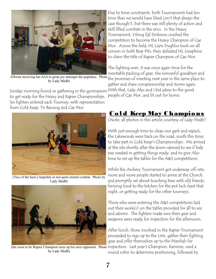

by Lady Medb)

Sunday morning found us gathering in the gymnasium With that, Lady Alys and I bid adieu to the good to get ready for the Heavy and Rapier Championships. Six fighters entered each Tourney, with representation from Cold Keep, Tir Bannog and Cae Mor.



(Two of the heavy hopefuls in not-quite mortal combat. Photo by Lady Medb)



(the soon to be Rapier Champion sizes up his next opponent. Photo inspection. Last year's Champion, Ramirez, used a by Lady Medb)

Due to time constraints, both Tournaments had less time than we would have liked (isn't that always the case though?), but there was still plenty of action and skill filled combats in the erics. In the Heavy Tournament, [Viking fjal Eiriksson](file:///index.php?char=V#P7304) crushed the competition to become the Heavy Champion of Cae Mor. Across the field, HL Liam Dughlus took on all comers in both Bear Pits, then defeated HL Josephine to claim the title of Rapier Champion of Cae Mor.

(Olwen receiving her AoA to great joy amongst the populace. Photo the promises of meeting next year in the same place to The fighting over, it was once again time for the inevitable packing of gear, the sorrowful goodbyes and gather and share companionship and stories again. people of Cae Mor, and lit out for home.

# **Cold Keep May Champions**

(Note: all photos in this article courtesy of Lady Medb)

With just enough time to clean our garb and repack, the Lakewoods were back on the road, south this time, to take part in Cold Keep's Championships. We arrived at the site shortly after the doors opened to see if help was needed in getting things ready, and to give Alys time to set up the tables for the A&S competitions.

While the Archery Tournament got underway off-site, more and more people started to arrive at the Church, and promptly set about touching base with old friends, ferrying food to the kitchen for the pot luck feast that night, or getting ready for the other tourneys.

Those who were entering the A&S competitions laid out their work(s) on the tables provided for all to see and admire. The fighters made sure their gear and weapons were ready for inspection for the afternoon.

After lunch, those involved in the Rapier Tournament proceeded to sign up to the Lists, gather their fighting gear and offer themselves up to the Marshals for

round robin to determine positioning, followed by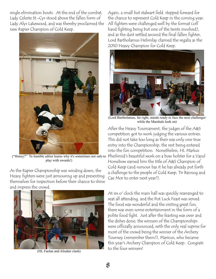single elimination bouts. At the end of the combat, Lady Celeste St.-Cyr stood above the fallen form of Lady Alys Lakewood, and was thereby proclaimed the new Rapier Champion of Cold Keep.



play with swords!)

As the Rapier Championship was winding down, the Heavy fighters were just armouring up and presenting themselves for inspection before their chance to shine and impress the crowd.



(HL Faelan and Alisdair clash)

Again, a small but stalwart field stepped forward for the chance to represent Cold Keep in the coming year. All fighters were challenged well by the format (off hand fighting being but one of the twists involved), and as the dust settled around the final fallen fighter, Lord Bartholamus Helsmlay claimed the regalia as the 2010 Heavy Champion for Cold Keep.



(Lord Bartholamus, far right, stands ready to face the next challenger while the Marshals look on)

("Honey?" Ye humble editor learns why it's sometimes not safe to Pheilsmid's beautiful work on a bow holster for a Vazul After the Heavy Tournament, the judges of the A&S competition got to work judging the various entries. This did not take too long as their was only one true entry into the Championship, the rest being entered into the fun competition. Nonetheless, HL Markus Horsebow earned him the title of A&S Champion of Cold Keep (and rumour has it he has already put forth a challenge to the people of Cold Keep, Tir Bannog and Cae Mor to enter next year!).

> At six o' clock the main hall was quickly rearranged to seat all attending, and the Pot Luck Feast was served. The food was wonderful and the visiting great fun; there was even some entertainment in the form of a polite food fight. Just after the feasting was over and the dishes done, the winners of the Championships were officially announced, with the only real suprise for most of the crowd being the winner of the Archery Tourney (remember them?), Marinus, who became this year's Archery Champion of Cold Keep. Congrats to the four winners!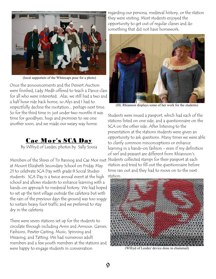

(local supporters of the Whitecaps pose for a photo)

Once the announcements and the Dessert Auction were finished, Lady Medb offered to teach a Dance class for all who were interested. Alas, we still had a two and a half hour ride back home, so Alys and I had to respectfully decline the invitation... perhaps next time. So for the third time in just under two months it was time for goodbyes, hugs and promises to see one another soon, and we made our weary way home.

#### Cae Mor's SCA Day

By Wlfryd of Leedes; photos by Sally Sousa

Members of the Shires of Tir Bannog and Cae Mor met Students collected stamps for their passport at each at Mount Elizabeth Secondary School on Friday May 21 to celebrate SCA Day with grade 8 Social Studies students. SCA Day is a twice annual event at the high school and allows students to enhance learning with a hands-on approach to medieval history. We had hoped to set up the tent village outside the cafeteria but with the rain of the previous days the ground was too soggy to sustain heavy foot traffic and we preferred to stay dry in the cafeteria.

There were seven stations set up for the students to circulate through including Arms and Armour, Games, Fashions, Pewter Casting, Music, Spinning and Weaving, and Tatting. We had numerous adult members and a few youth members at the stations and were happy to engage students in conversation

regarding our persona, medieval history, or the station they were visiting. Most students enjoyed the opportunity to get out of regular classes and do something that did not have homework.



(HL Rhiannon displays some of her work for the students)

Students were issued a passport, which had each of the stations listed on one side, and a questionnaire on the SCA on the other side. After listening to the presentation at the stations students were given an opportunity to ask questions. Many times we were able to clarify common misconceptions or enhance learning in a hands-on fashion - even if my definition of serf and peasant are different from Rhiannon's. station and tried to fill out the questionnaire before time ran out and they had to move on to the next station.



(Wlfryd of Leedes' device done in chainmail)